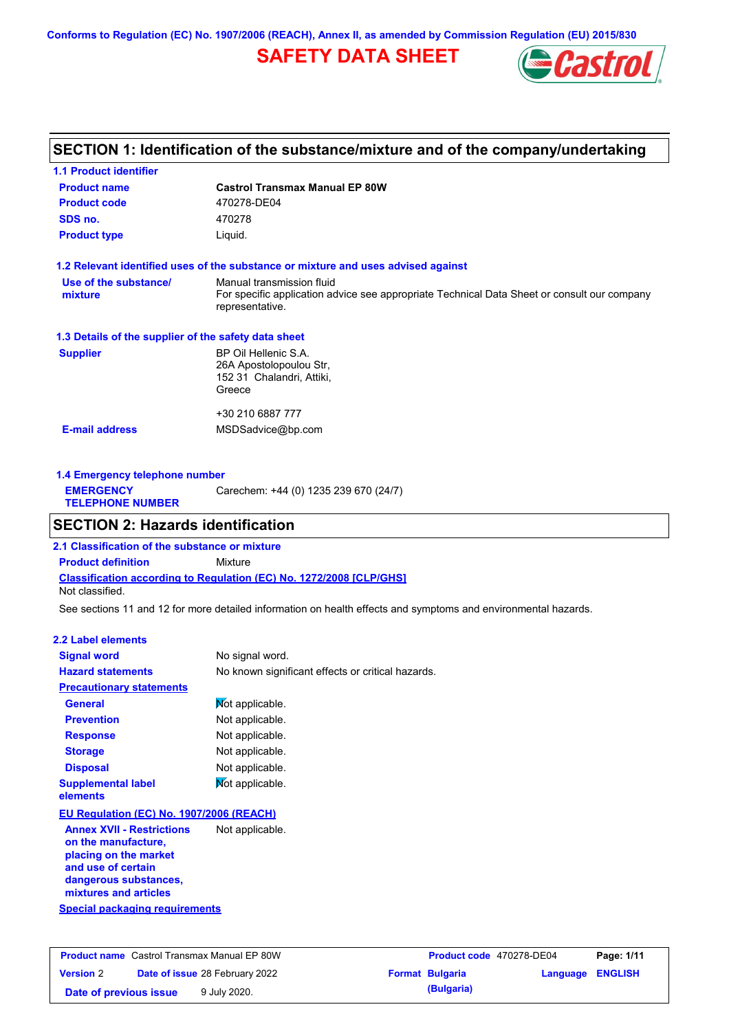**Conforms to Regulation (EC) No. 1907/2006 (REACH), Annex II, as amended by Commission Regulation (EU) 2015/830**

# **SAFETY DATA SHEET**



### **SECTION 1: Identification of the substance/mixture and of the company/undertaking**

| <b>1.1 Product identifier</b>                        |                                                                                                                                             |  |  |  |
|------------------------------------------------------|---------------------------------------------------------------------------------------------------------------------------------------------|--|--|--|
| <b>Product name</b>                                  | <b>Castrol Transmax Manual EP 80W</b>                                                                                                       |  |  |  |
| <b>Product code</b>                                  | 470278-DE04                                                                                                                                 |  |  |  |
| SDS no.                                              | 470278                                                                                                                                      |  |  |  |
| <b>Product type</b>                                  | Liquid.                                                                                                                                     |  |  |  |
|                                                      | 1.2 Relevant identified uses of the substance or mixture and uses advised against                                                           |  |  |  |
| Use of the substance/<br>mixture                     | Manual transmission fluid<br>For specific application advice see appropriate Technical Data Sheet or consult our company<br>representative. |  |  |  |
| 1.3 Details of the supplier of the safety data sheet |                                                                                                                                             |  |  |  |
| <b>Supplier</b>                                      | BP Oil Hellenic S.A.<br>26A Apostolopoulou Str,<br>152 31 Chalandri, Attiki,<br>Greece                                                      |  |  |  |
|                                                      | +30 210 6887 777                                                                                                                            |  |  |  |
| <b>E-mail address</b>                                | MSDSadvice@bp.com                                                                                                                           |  |  |  |
|                                                      |                                                                                                                                             |  |  |  |

| 1.4 Emergency telephone number              |                                       |  |  |  |
|---------------------------------------------|---------------------------------------|--|--|--|
| <b>EMERGENCY</b><br><b>TELEPHONE NUMBER</b> | Carechem: +44 (0) 1235 239 670 (24/7) |  |  |  |
|                                             |                                       |  |  |  |

### **SECTION 2: Hazards identification**

**Classification according to Regulation (EC) No. 1272/2008 [CLP/GHS] 2.1 Classification of the substance or mixture Product definition** Mixture Not classified.

See sections 11 and 12 for more detailed information on health effects and symptoms and environmental hazards.

### **2.2 Label elements**

| <b>Signal word</b>                                                                                                                                       | No signal word.                                   |  |  |
|----------------------------------------------------------------------------------------------------------------------------------------------------------|---------------------------------------------------|--|--|
| <b>Hazard statements</b>                                                                                                                                 | No known significant effects or critical hazards. |  |  |
| <b>Precautionary statements</b>                                                                                                                          |                                                   |  |  |
| General                                                                                                                                                  | Not applicable.                                   |  |  |
| <b>Prevention</b>                                                                                                                                        | Not applicable.                                   |  |  |
| <b>Response</b>                                                                                                                                          | Not applicable.                                   |  |  |
| <b>Storage</b>                                                                                                                                           | Not applicable.                                   |  |  |
| <b>Disposal</b>                                                                                                                                          | Not applicable.                                   |  |  |
| <b>Supplemental label</b><br>elements                                                                                                                    | Mot applicable.                                   |  |  |
| EU Regulation (EC) No. 1907/2006 (REACH)                                                                                                                 |                                                   |  |  |
| <b>Annex XVII - Restrictions</b><br>on the manufacture,<br>placing on the market<br>and use of certain<br>dangerous substances,<br>mixtures and articles | Not applicable.                                   |  |  |
| <b>Special packaging requirements</b>                                                                                                                    |                                                   |  |  |

| <b>Product name</b> Castrol Transmax Manual EP 80W |  | Product code 470278-DE04              |  | Page: 1/11             |                         |  |
|----------------------------------------------------|--|---------------------------------------|--|------------------------|-------------------------|--|
| <b>Version 2</b>                                   |  | <b>Date of issue 28 February 2022</b> |  | <b>Format Bulgaria</b> | <b>Language ENGLISH</b> |  |
| Date of previous issue                             |  | 9 July 2020.                          |  | (Bulgaria)             |                         |  |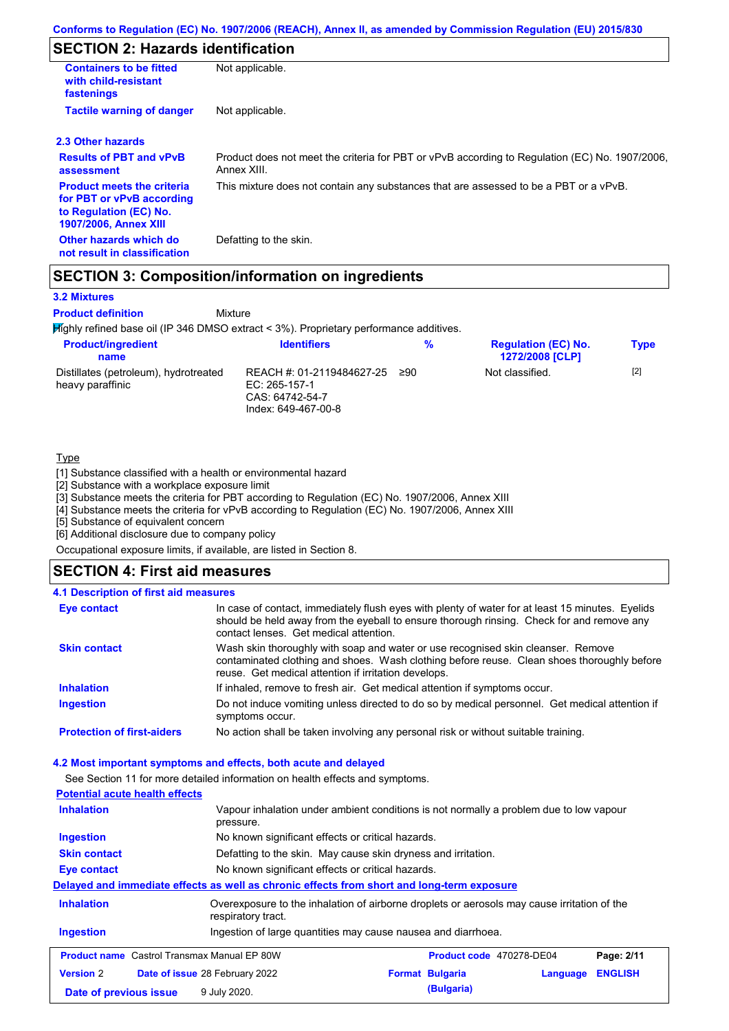# **SECTION 2: Hazards identification**

| <b>Containers to be fitted</b><br>with child-resistant<br>fastenings                                                     | Not applicable.                                                                                               |
|--------------------------------------------------------------------------------------------------------------------------|---------------------------------------------------------------------------------------------------------------|
| <b>Tactile warning of danger</b>                                                                                         | Not applicable.                                                                                               |
| 2.3 Other hazards                                                                                                        |                                                                                                               |
| <b>Results of PBT and vPvB</b><br>assessment                                                                             | Product does not meet the criteria for PBT or vPvB according to Regulation (EC) No. 1907/2006,<br>Annex XIII. |
| <b>Product meets the criteria</b><br>for PBT or vPvB according<br>to Regulation (EC) No.<br><b>1907/2006, Annex XIII</b> | This mixture does not contain any substances that are assessed to be a PBT or a vPvB.                         |
| Other hazards which do<br>not result in classification                                                                   | Defatting to the skin.                                                                                        |

### **SECTION 3: Composition/information on ingredients**

Mixture

#### **3.2 Mixtures**

**Product definition**

Highly refined base oil (IP 346 DMSO extract < 3%). Proprietary performance additives.

| <b>Product/ingredient</b><br>name                         | <b>Identifiers</b>                                                                   | %   | <b>Regulation (EC) No.</b><br><b>1272/2008 [CLP]</b> | <b>Type</b> |
|-----------------------------------------------------------|--------------------------------------------------------------------------------------|-----|------------------------------------------------------|-------------|
| Distillates (petroleum), hydrotreated<br>heavy paraffinic | REACH #: 01-2119484627-25<br>EC: 265-157-1<br>CAS: 64742-54-7<br>Index: 649-467-00-8 | ≥90 | Not classified.                                      | $[2]$       |

#### **Type**

[1] Substance classified with a health or environmental hazard

[2] Substance with a workplace exposure limit

[3] Substance meets the criteria for PBT according to Regulation (EC) No. 1907/2006, Annex XIII

[4] Substance meets the criteria for vPvB according to Regulation (EC) No. 1907/2006, Annex XIII

[5] Substance of equivalent concern

[6] Additional disclosure due to company policy

Occupational exposure limits, if available, are listed in Section 8.

### **SECTION 4: First aid measures**

### **4.1 Description of first aid measures**

| <b>Eye contact</b>                | In case of contact, immediately flush eyes with plenty of water for at least 15 minutes. Eyelids<br>should be held away from the eyeball to ensure thorough rinsing. Check for and remove any<br>contact lenses. Get medical attention. |
|-----------------------------------|-----------------------------------------------------------------------------------------------------------------------------------------------------------------------------------------------------------------------------------------|
| <b>Skin contact</b>               | Wash skin thoroughly with soap and water or use recognised skin cleanser. Remove<br>contaminated clothing and shoes. Wash clothing before reuse. Clean shoes thoroughly before<br>reuse. Get medical attention if irritation develops.  |
| <b>Inhalation</b>                 | If inhaled, remove to fresh air. Get medical attention if symptoms occur.                                                                                                                                                               |
| <b>Ingestion</b>                  | Do not induce vomiting unless directed to do so by medical personnel. Get medical attention if<br>symptoms occur.                                                                                                                       |
| <b>Protection of first-aiders</b> | No action shall be taken involving any personal risk or without suitable training.                                                                                                                                                      |

#### **4.2 Most important symptoms and effects, both acute and delayed**

See Section 11 for more detailed information on health effects and symptoms.

| <b>Potential acute health effects</b>                                                               |                                                                                                                   |  |                        |          |                |
|-----------------------------------------------------------------------------------------------------|-------------------------------------------------------------------------------------------------------------------|--|------------------------|----------|----------------|
| <b>Inhalation</b>                                                                                   | Vapour inhalation under ambient conditions is not normally a problem due to low vapour<br>pressure.               |  |                        |          |                |
| Ingestion                                                                                           | No known significant effects or critical hazards.                                                                 |  |                        |          |                |
| <b>Skin contact</b>                                                                                 | Defatting to the skin. May cause skin dryness and irritation.                                                     |  |                        |          |                |
| Eye contact                                                                                         | No known significant effects or critical hazards.                                                                 |  |                        |          |                |
|                                                                                                     | Delayed and immediate effects as well as chronic effects from short and long-term exposure                        |  |                        |          |                |
| <b>Inhalation</b>                                                                                   | Overexposure to the inhalation of airborne droplets or aerosols may cause irritation of the<br>respiratory tract. |  |                        |          |                |
| Ingestion of large quantities may cause nausea and diarrhoea.<br>Ingestion                          |                                                                                                                   |  |                        |          |                |
| <b>Product name</b> Castrol Transmax Manual EP 80W<br><b>Product code</b> 470278-DE04<br>Page: 2/11 |                                                                                                                   |  |                        |          |                |
| <b>Version 2</b>                                                                                    | <b>Date of issue 28 February 2022</b>                                                                             |  | <b>Format Bulgaria</b> | Language | <b>ENGLISH</b> |
| Date of previous issue                                                                              | 9 July 2020.                                                                                                      |  | (Bulgaria)             |          |                |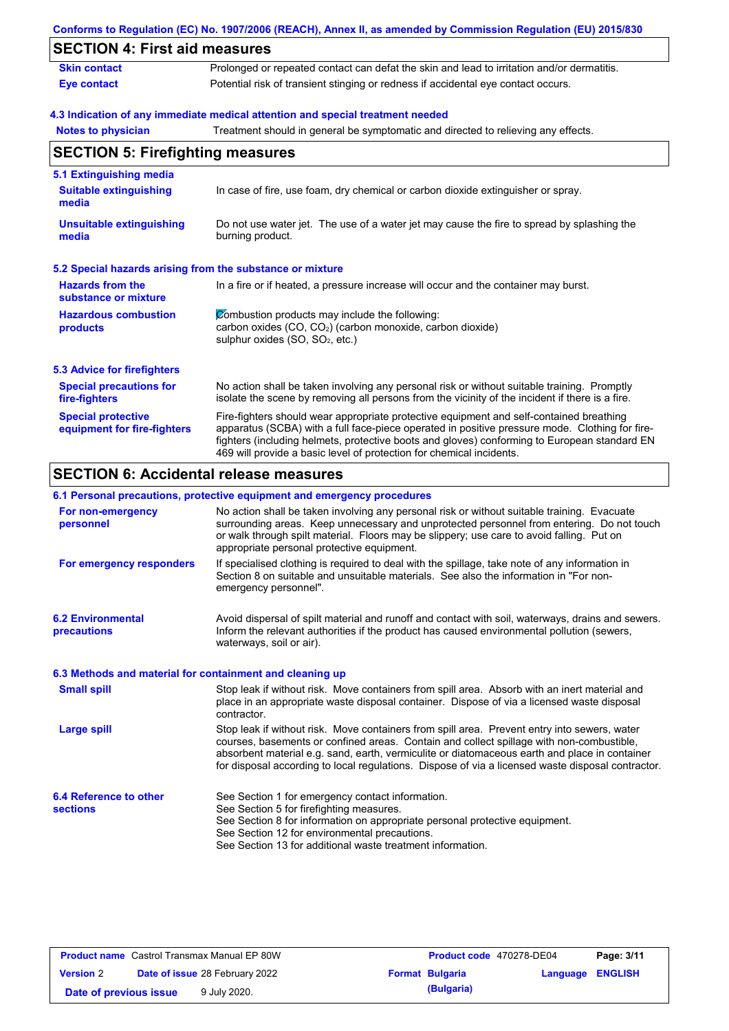|                                                          | Conforms to Regulation (EC) No. 1907/2006 (REACH), Annex II, as amended by Commission Regulation (EU) 2015/830                                                                                                                                                                                                                                                    |  |  |
|----------------------------------------------------------|-------------------------------------------------------------------------------------------------------------------------------------------------------------------------------------------------------------------------------------------------------------------------------------------------------------------------------------------------------------------|--|--|
| <b>SECTION 4: First aid measures</b>                     |                                                                                                                                                                                                                                                                                                                                                                   |  |  |
| <b>Skin contact</b>                                      | Prolonged or repeated contact can defat the skin and lead to irritation and/or dermatitis.                                                                                                                                                                                                                                                                        |  |  |
| <b>Eye contact</b>                                       | Potential risk of transient stinging or redness if accidental eye contact occurs.                                                                                                                                                                                                                                                                                 |  |  |
|                                                          | 4.3 Indication of any immediate medical attention and special treatment needed                                                                                                                                                                                                                                                                                    |  |  |
| <b>Notes to physician</b>                                | Treatment should in general be symptomatic and directed to relieving any effects.                                                                                                                                                                                                                                                                                 |  |  |
| <b>SECTION 5: Firefighting measures</b>                  |                                                                                                                                                                                                                                                                                                                                                                   |  |  |
| 5.1 Extinguishing media                                  |                                                                                                                                                                                                                                                                                                                                                                   |  |  |
| <b>Suitable extinguishing</b><br>media                   | In case of fire, use foam, dry chemical or carbon dioxide extinguisher or spray.                                                                                                                                                                                                                                                                                  |  |  |
| <b>Unsuitable extinguishing</b><br>media                 | Do not use water jet. The use of a water jet may cause the fire to spread by splashing the<br>burning product.                                                                                                                                                                                                                                                    |  |  |
|                                                          | 5.2 Special hazards arising from the substance or mixture                                                                                                                                                                                                                                                                                                         |  |  |
| <b>Hazards from the</b><br>substance or mixture          | In a fire or if heated, a pressure increase will occur and the container may burst.                                                                                                                                                                                                                                                                               |  |  |
| <b>Hazardous combustion</b><br>products                  | Combustion products may include the following:<br>carbon oxides (CO, CO <sub>2</sub> ) (carbon monoxide, carbon dioxide)<br>sulphur oxides (SO, SO <sub>2</sub> , etc.)                                                                                                                                                                                           |  |  |
| <b>5.3 Advice for firefighters</b>                       |                                                                                                                                                                                                                                                                                                                                                                   |  |  |
| <b>Special precautions for</b><br>fire-fighters          | No action shall be taken involving any personal risk or without suitable training. Promptly<br>isolate the scene by removing all persons from the vicinity of the incident if there is a fire.                                                                                                                                                                    |  |  |
| <b>Special protective</b><br>equipment for fire-fighters | Fire-fighters should wear appropriate protective equipment and self-contained breathing<br>apparatus (SCBA) with a full face-piece operated in positive pressure mode. Clothing for fire-<br>fighters (including helmets, protective boots and gloves) conforming to European standard EN<br>469 will provide a basic level of protection for chemical incidents. |  |  |
|                                                          | <b>SECTION 6: Accidental release measures</b>                                                                                                                                                                                                                                                                                                                     |  |  |
|                                                          | 6.1 Personal precautions, protective equipment and emergency procedures                                                                                                                                                                                                                                                                                           |  |  |
| For non-emergency<br>personnel                           | No action shall be taken involving any personal risk or without suitable training. Evacuate<br>surrounding areas. Keep unnecessary and unprotected personnel from entering. Do not touch                                                                                                                                                                          |  |  |

| ן טו ווטוו־סוווסועסווט<br>personnel                      | TVO action shall be taken linvolving any personal hok of without suitable training. Evacuate<br>surrounding areas. Keep unnecessary and unprotected personnel from entering. Do not touch<br>or walk through spilt material. Floors may be slippery; use care to avoid falling. Put on<br>appropriate personal protective equipment.                                                           |
|----------------------------------------------------------|------------------------------------------------------------------------------------------------------------------------------------------------------------------------------------------------------------------------------------------------------------------------------------------------------------------------------------------------------------------------------------------------|
| For emergency responders                                 | If specialised clothing is required to deal with the spillage, take note of any information in<br>Section 8 on suitable and unsuitable materials. See also the information in "For non-<br>emergency personnel".                                                                                                                                                                               |
| <b>6.2 Environmental</b><br>precautions                  | Avoid dispersal of spilt material and runoff and contact with soil, waterways, drains and sewers.<br>Inform the relevant authorities if the product has caused environmental pollution (sewers,<br>waterways, soil or air).                                                                                                                                                                    |
| 6.3 Methods and material for containment and cleaning up |                                                                                                                                                                                                                                                                                                                                                                                                |
| <b>Small spill</b>                                       | Stop leak if without risk. Move containers from spill area. Absorb with an inert material and<br>place in an appropriate waste disposal container. Dispose of via a licensed waste disposal<br>contractor.                                                                                                                                                                                     |
| Large spill                                              | Stop leak if without risk. Move containers from spill area. Prevent entry into sewers, water<br>courses, basements or confined areas. Contain and collect spillage with non-combustible,<br>absorbent material e.g. sand, earth, vermiculite or diatomaceous earth and place in container<br>for disposal according to local regulations. Dispose of via a licensed waste disposal contractor. |
| 6.4 Reference to other<br><b>sections</b>                | See Section 1 for emergency contact information.<br>See Section 5 for firefighting measures.<br>See Section 8 for information on appropriate personal protective equipment.<br>See Section 12 for environmental precautions.<br>See Section 13 for additional waste treatment information.                                                                                                     |

| <b>Product name</b> Castrol Transmax Manual EP 80W |                                       |  | <b>Product code</b> 470278-DE04 | Page: 3/11              |  |
|----------------------------------------------------|---------------------------------------|--|---------------------------------|-------------------------|--|
| <b>Version 2</b>                                   | <b>Date of issue 28 February 2022</b> |  | <b>Format Bulgaria</b>          | <b>Language ENGLISH</b> |  |
| Date of previous issue                             | 9 July 2020.                          |  | (Bulgaria)                      |                         |  |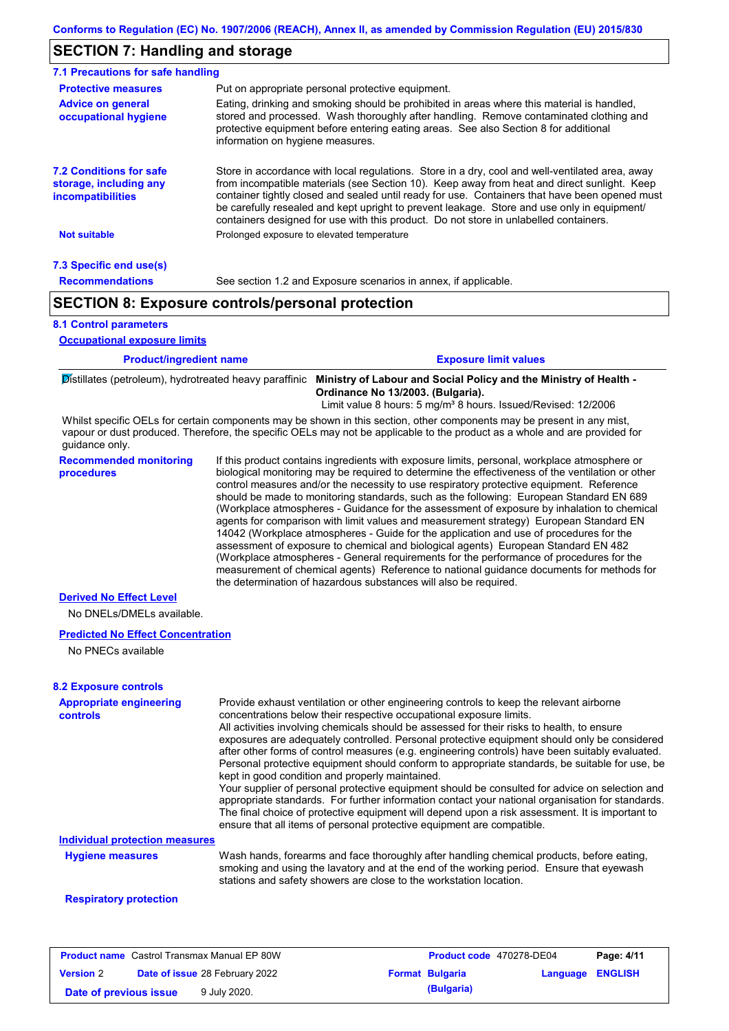### **SECTION 7: Handling and storage**

| 7.1 Precautions for safe handling                                                    |                                                                                                                                                                                                                                                                                                                                                                                                                                                                                          |  |  |  |
|--------------------------------------------------------------------------------------|------------------------------------------------------------------------------------------------------------------------------------------------------------------------------------------------------------------------------------------------------------------------------------------------------------------------------------------------------------------------------------------------------------------------------------------------------------------------------------------|--|--|--|
| <b>Protective measures</b>                                                           | Put on appropriate personal protective equipment.                                                                                                                                                                                                                                                                                                                                                                                                                                        |  |  |  |
| <b>Advice on general</b><br>occupational hygiene                                     | Eating, drinking and smoking should be prohibited in areas where this material is handled,<br>stored and processed. Wash thoroughly after handling. Remove contaminated clothing and<br>protective equipment before entering eating areas. See also Section 8 for additional<br>information on hygiene measures.                                                                                                                                                                         |  |  |  |
| <b>7.2 Conditions for safe</b><br>storage, including any<br><i>incompatibilities</i> | Store in accordance with local requlations. Store in a dry, cool and well-ventilated area, away<br>from incompatible materials (see Section 10). Keep away from heat and direct sunlight. Keep<br>container tightly closed and sealed until ready for use. Containers that have been opened must<br>be carefully resealed and kept upright to prevent leakage. Store and use only in equipment/<br>containers designed for use with this product. Do not store in unlabelled containers. |  |  |  |
| <b>Not suitable</b>                                                                  | Prolonged exposure to elevated temperature                                                                                                                                                                                                                                                                                                                                                                                                                                               |  |  |  |
| 7.3 Specific end use(s)                                                              |                                                                                                                                                                                                                                                                                                                                                                                                                                                                                          |  |  |  |
| <b>Recommendations</b>                                                               | See section 1.2 and Exposure scenarios in annex, if applicable.                                                                                                                                                                                                                                                                                                                                                                                                                          |  |  |  |
| <b>SECTION 8: Exposure controls/personal protection</b>                              |                                                                                                                                                                                                                                                                                                                                                                                                                                                                                          |  |  |  |

#### **8.1 Control parameters**

**Occupational exposure limits**

| <b>Product/ingredient name</b> | <b>Exposure limit values</b> |
|--------------------------------|------------------------------|
|                                |                              |

Distillates (petroleum), hydrotreated heavy paraffinic **Ministry of Labour and Social Policy and the Ministry of Health - Ordinance No 13/2003. (Bulgaria).**

Limit value 8 hours: 5 mg/m<sup>3</sup> 8 hours. Issued/Revised: 12/2006

Whilst specific OELs for certain components may be shown in this section, other components may be present in any mist, vapour or dust produced. Therefore, the specific OELs may not be applicable to the product as a whole and are provided for guidance only.

**Recommended monitoring procedures** If this product contains ingredients with exposure limits, personal, workplace atmosphere or biological monitoring may be required to determine the effectiveness of the ventilation or other control measures and/or the necessity to use respiratory protective equipment. Reference should be made to monitoring standards, such as the following: European Standard EN 689 (Workplace atmospheres - Guidance for the assessment of exposure by inhalation to chemical agents for comparison with limit values and measurement strategy) European Standard EN 14042 (Workplace atmospheres - Guide for the application and use of procedures for the assessment of exposure to chemical and biological agents) European Standard EN 482 (Workplace atmospheres - General requirements for the performance of procedures for the measurement of chemical agents) Reference to national guidance documents for methods for the determination of hazardous substances will also be required.

#### **Derived No Effect Level**

No DNELs/DMELs available.

### **Predicted No Effect Concentration**

No PNECs available

#### **8.2 Exposure controls**

| <b>Appropriate engineering</b><br><b>controls</b> | Provide exhaust ventilation or other engineering controls to keep the relevant airborne<br>concentrations below their respective occupational exposure limits.<br>All activities involving chemicals should be assessed for their risks to health, to ensure<br>exposures are adequately controlled. Personal protective equipment should only be considered<br>after other forms of control measures (e.g. engineering controls) have been suitably evaluated.<br>Personal protective equipment should conform to appropriate standards, be suitable for use, be<br>kept in good condition and properly maintained.<br>Your supplier of personal protective equipment should be consulted for advice on selection and<br>appropriate standards. For further information contact your national organisation for standards.<br>The final choice of protective equipment will depend upon a risk assessment. It is important to<br>ensure that all items of personal protective equipment are compatible. |
|---------------------------------------------------|---------------------------------------------------------------------------------------------------------------------------------------------------------------------------------------------------------------------------------------------------------------------------------------------------------------------------------------------------------------------------------------------------------------------------------------------------------------------------------------------------------------------------------------------------------------------------------------------------------------------------------------------------------------------------------------------------------------------------------------------------------------------------------------------------------------------------------------------------------------------------------------------------------------------------------------------------------------------------------------------------------|
| <b>Individual protection measures</b>             |                                                                                                                                                                                                                                                                                                                                                                                                                                                                                                                                                                                                                                                                                                                                                                                                                                                                                                                                                                                                         |
| <b>Hygiene measures</b>                           | Wash hands, forearms and face thoroughly after handling chemical products, before eating,<br>smoking and using the lavatory and at the end of the working period. Ensure that eyewash<br>stations and safety showers are close to the workstation location.                                                                                                                                                                                                                                                                                                                                                                                                                                                                                                                                                                                                                                                                                                                                             |
| <b>Respiratory protection</b>                     |                                                                                                                                                                                                                                                                                                                                                                                                                                                                                                                                                                                                                                                                                                                                                                                                                                                                                                                                                                                                         |

### **Product name** Castrol Transmax Manual EP 80W **Product code** 470278-DE04 **Page: 4/11 Version** 2 **Date of issue** 28 February 2022 **Format Bulgaria Example 28 February 2022 Date of previous issue 9 July 2020. (Bulgaria) (Bulgaria)**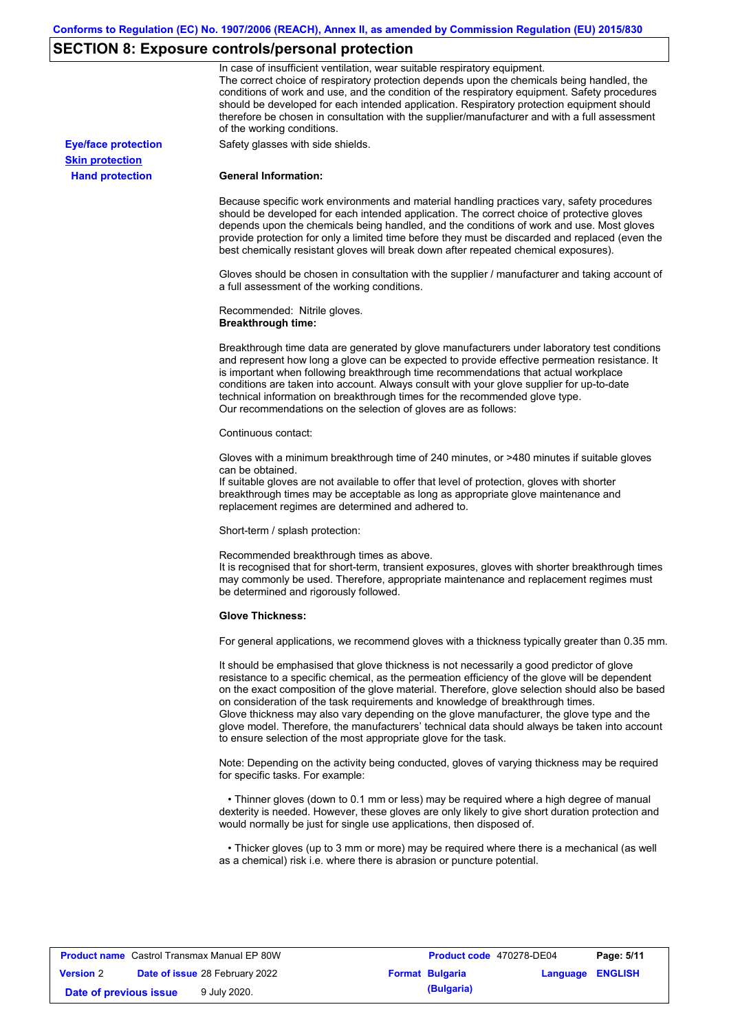# **SECTION 8: Exposure controls/personal protection**

|                            | In case of insufficient ventilation, wear suitable respiratory equipment.<br>The correct choice of respiratory protection depends upon the chemicals being handled, the<br>conditions of work and use, and the condition of the respiratory equipment. Safety procedures<br>should be developed for each intended application. Respiratory protection equipment should<br>therefore be chosen in consultation with the supplier/manufacturer and with a full assessment<br>of the working conditions.                                                                                                                                             |
|----------------------------|---------------------------------------------------------------------------------------------------------------------------------------------------------------------------------------------------------------------------------------------------------------------------------------------------------------------------------------------------------------------------------------------------------------------------------------------------------------------------------------------------------------------------------------------------------------------------------------------------------------------------------------------------|
| <b>Eye/face protection</b> | Safety glasses with side shields.                                                                                                                                                                                                                                                                                                                                                                                                                                                                                                                                                                                                                 |
| <b>Skin protection</b>     |                                                                                                                                                                                                                                                                                                                                                                                                                                                                                                                                                                                                                                                   |
| <b>Hand protection</b>     | <b>General Information:</b>                                                                                                                                                                                                                                                                                                                                                                                                                                                                                                                                                                                                                       |
|                            | Because specific work environments and material handling practices vary, safety procedures<br>should be developed for each intended application. The correct choice of protective gloves<br>depends upon the chemicals being handled, and the conditions of work and use. Most gloves<br>provide protection for only a limited time before they must be discarded and replaced (even the<br>best chemically resistant gloves will break down after repeated chemical exposures).                                                                                                                                                                  |
|                            | Gloves should be chosen in consultation with the supplier / manufacturer and taking account of<br>a full assessment of the working conditions.                                                                                                                                                                                                                                                                                                                                                                                                                                                                                                    |
|                            | Recommended: Nitrile gloves.<br><b>Breakthrough time:</b>                                                                                                                                                                                                                                                                                                                                                                                                                                                                                                                                                                                         |
|                            | Breakthrough time data are generated by glove manufacturers under laboratory test conditions<br>and represent how long a glove can be expected to provide effective permeation resistance. It<br>is important when following breakthrough time recommendations that actual workplace<br>conditions are taken into account. Always consult with your glove supplier for up-to-date<br>technical information on breakthrough times for the recommended glove type.<br>Our recommendations on the selection of gloves are as follows:                                                                                                                |
|                            | Continuous contact:                                                                                                                                                                                                                                                                                                                                                                                                                                                                                                                                                                                                                               |
|                            | Gloves with a minimum breakthrough time of 240 minutes, or >480 minutes if suitable gloves<br>can be obtained.<br>If suitable gloves are not available to offer that level of protection, gloves with shorter<br>breakthrough times may be acceptable as long as appropriate glove maintenance and<br>replacement regimes are determined and adhered to.                                                                                                                                                                                                                                                                                          |
|                            | Short-term / splash protection:                                                                                                                                                                                                                                                                                                                                                                                                                                                                                                                                                                                                                   |
|                            | Recommended breakthrough times as above.<br>It is recognised that for short-term, transient exposures, gloves with shorter breakthrough times<br>may commonly be used. Therefore, appropriate maintenance and replacement regimes must<br>be determined and rigorously followed.                                                                                                                                                                                                                                                                                                                                                                  |
|                            | <b>Glove Thickness:</b>                                                                                                                                                                                                                                                                                                                                                                                                                                                                                                                                                                                                                           |
|                            | For general applications, we recommend gloves with a thickness typically greater than 0.35 mm.                                                                                                                                                                                                                                                                                                                                                                                                                                                                                                                                                    |
|                            | It should be emphasised that glove thickness is not necessarily a good predictor of glove<br>resistance to a specific chemical, as the permeation efficiency of the glove will be dependent<br>on the exact composition of the glove material. Therefore, glove selection should also be based<br>on consideration of the task requirements and knowledge of breakthrough times.<br>Glove thickness may also vary depending on the glove manufacturer, the glove type and the<br>glove model. Therefore, the manufacturers' technical data should always be taken into account<br>to ensure selection of the most appropriate glove for the task. |
|                            | Note: Depending on the activity being conducted, gloves of varying thickness may be required<br>for specific tasks. For example:                                                                                                                                                                                                                                                                                                                                                                                                                                                                                                                  |
|                            | • Thinner gloves (down to 0.1 mm or less) may be required where a high degree of manual<br>dexterity is needed. However, these gloves are only likely to give short duration protection and<br>would normally be just for single use applications, then disposed of.                                                                                                                                                                                                                                                                                                                                                                              |
|                            | • Thicker gloves (up to 3 mm or more) may be required where there is a mechanical (as well<br>as a chemical) risk i.e. where there is abrasion or puncture potential.                                                                                                                                                                                                                                                                                                                                                                                                                                                                             |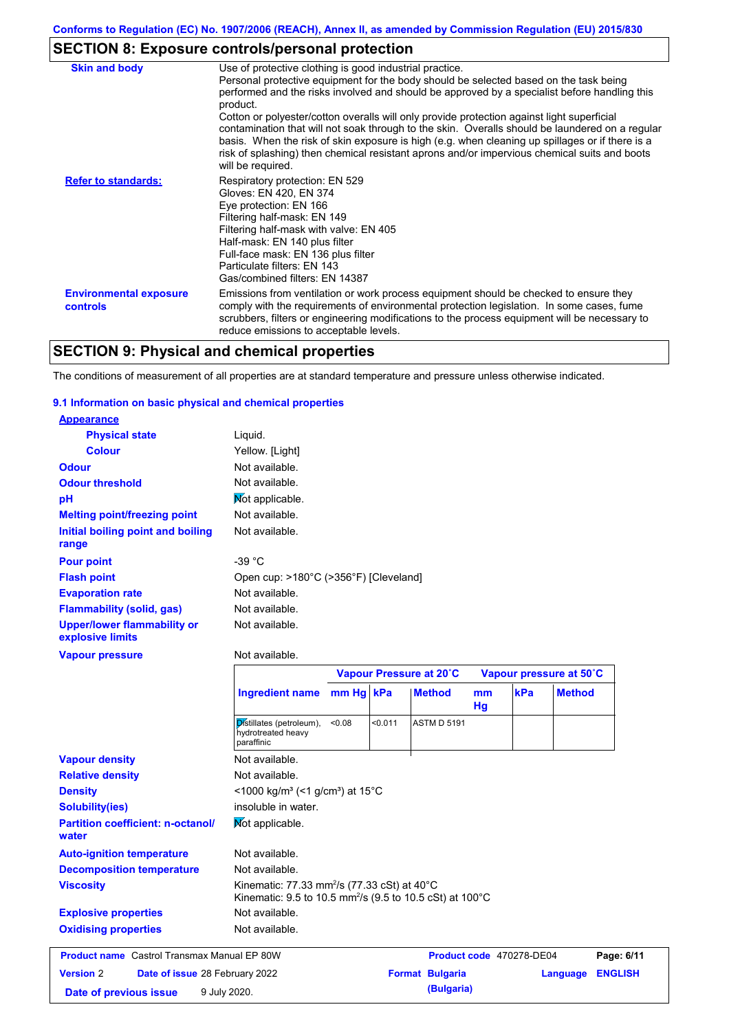# **SECTION 8: Exposure controls/personal protection**

| <b>Skin and body</b>                             | Use of protective clothing is good industrial practice.                                                                                                                                                                                                                                                                                                                                                                                                                                                                                                                                                                    |
|--------------------------------------------------|----------------------------------------------------------------------------------------------------------------------------------------------------------------------------------------------------------------------------------------------------------------------------------------------------------------------------------------------------------------------------------------------------------------------------------------------------------------------------------------------------------------------------------------------------------------------------------------------------------------------------|
|                                                  | Personal protective equipment for the body should be selected based on the task being<br>performed and the risks involved and should be approved by a specialist before handling this<br>product.<br>Cotton or polyester/cotton overalls will only provide protection against light superficial<br>contamination that will not soak through to the skin. Overalls should be laundered on a regular<br>basis. When the risk of skin exposure is high (e.g. when cleaning up spillages or if there is a<br>risk of splashing) then chemical resistant aprons and/or impervious chemical suits and boots<br>will be required. |
| <b>Refer to standards:</b>                       | Respiratory protection: EN 529<br>Gloves: EN 420, EN 374<br>Eye protection: EN 166<br>Filtering half-mask: EN 149<br>Filtering half-mask with valve: EN 405<br>Half-mask: EN 140 plus filter<br>Full-face mask: EN 136 plus filter<br>Particulate filters: EN 143<br>Gas/combined filters: EN 14387                                                                                                                                                                                                                                                                                                                        |
| <b>Environmental exposure</b><br><b>controls</b> | Emissions from ventilation or work process equipment should be checked to ensure they<br>comply with the requirements of environmental protection legislation. In some cases, fume<br>scrubbers, filters or engineering modifications to the process equipment will be necessary to<br>reduce emissions to acceptable levels.                                                                                                                                                                                                                                                                                              |

# **SECTION 9: Physical and chemical properties**

The conditions of measurement of all properties are at standard temperature and pressure unless otherwise indicated.

### **9.1 Information on basic physical and chemical properties**

| <b>Appearance</b>                                      |                                                                                                                                            |           |                                                    |                    |          |     |               |
|--------------------------------------------------------|--------------------------------------------------------------------------------------------------------------------------------------------|-----------|----------------------------------------------------|--------------------|----------|-----|---------------|
| <b>Physical state</b>                                  | Liquid.                                                                                                                                    |           |                                                    |                    |          |     |               |
| <b>Colour</b>                                          | Yellow. [Light]                                                                                                                            |           |                                                    |                    |          |     |               |
| <b>Odour</b>                                           | Not available.                                                                                                                             |           |                                                    |                    |          |     |               |
| <b>Odour threshold</b>                                 | Not available.                                                                                                                             |           |                                                    |                    |          |     |               |
| pH                                                     | Mot applicable.                                                                                                                            |           |                                                    |                    |          |     |               |
| <b>Melting point/freezing point</b>                    | Not available.                                                                                                                             |           |                                                    |                    |          |     |               |
| Initial boiling point and boiling<br>range             | Not available.                                                                                                                             |           |                                                    |                    |          |     |               |
| <b>Pour point</b>                                      | $-39 °C$                                                                                                                                   |           |                                                    |                    |          |     |               |
| <b>Flash point</b>                                     | Open cup: >180°C (>356°F) [Cleveland]                                                                                                      |           |                                                    |                    |          |     |               |
| <b>Evaporation rate</b>                                | Not available.                                                                                                                             |           |                                                    |                    |          |     |               |
| <b>Flammability (solid, gas)</b>                       | Not available.                                                                                                                             |           |                                                    |                    |          |     |               |
| <b>Upper/lower flammability or</b><br>explosive limits | Not available.                                                                                                                             |           |                                                    |                    |          |     |               |
| <b>Vapour pressure</b>                                 | Not available.                                                                                                                             |           |                                                    |                    |          |     |               |
|                                                        |                                                                                                                                            |           | Vapour Pressure at 20°C<br>Vapour pressure at 50°C |                    |          |     |               |
|                                                        |                                                                                                                                            |           |                                                    |                    |          |     |               |
|                                                        | <b>Ingredient name</b>                                                                                                                     | mm Hg kPa |                                                    | <b>Method</b>      | mm<br>Hg | kPa | <b>Method</b> |
|                                                        | Distillates (petroleum),<br>hydrotreated heavy<br>paraffinic                                                                               | 0.08      | < 0.011                                            | <b>ASTM D 5191</b> |          |     |               |
| <b>Vapour density</b>                                  | Not available.                                                                                                                             |           |                                                    |                    |          |     |               |
| <b>Relative density</b>                                | Not available.                                                                                                                             |           |                                                    |                    |          |     |               |
| <b>Density</b>                                         | <1000 kg/m <sup>3</sup> (<1 g/cm <sup>3</sup> ) at 15 <sup>°</sup> C                                                                       |           |                                                    |                    |          |     |               |
| Solubility(ies)                                        | insoluble in water.                                                                                                                        |           |                                                    |                    |          |     |               |
| <b>Partition coefficient: n-octanol/</b><br>water      | Mot applicable.                                                                                                                            |           |                                                    |                    |          |     |               |
| <b>Auto-ignition temperature</b>                       | Not available.                                                                                                                             |           |                                                    |                    |          |     |               |
| <b>Decomposition temperature</b>                       | Not available.                                                                                                                             |           |                                                    |                    |          |     |               |
| <b>Viscosity</b>                                       | Kinematic: 77.33 mm <sup>2</sup> /s (77.33 cSt) at 40 $^{\circ}$ C<br>Kinematic: 9.5 to 10.5 mm <sup>2</sup> /s (9.5 to 10.5 cSt) at 100°C |           |                                                    |                    |          |     |               |

### **Explosive properties Oxidising properties** Not available.

| <b>Product name</b> Castrol Transmax Manual EP 80W |  |                                       | Product code 470278-DE04 | Page: 6/11       |  |
|----------------------------------------------------|--|---------------------------------------|--------------------------|------------------|--|
| <b>Version 2</b>                                   |  | <b>Date of issue 28 February 2022</b> | <b>Format Bulgaria</b>   | Language ENGLISH |  |
| Date of previous issue                             |  | 9 July 2020.                          | (Bulgaria)               |                  |  |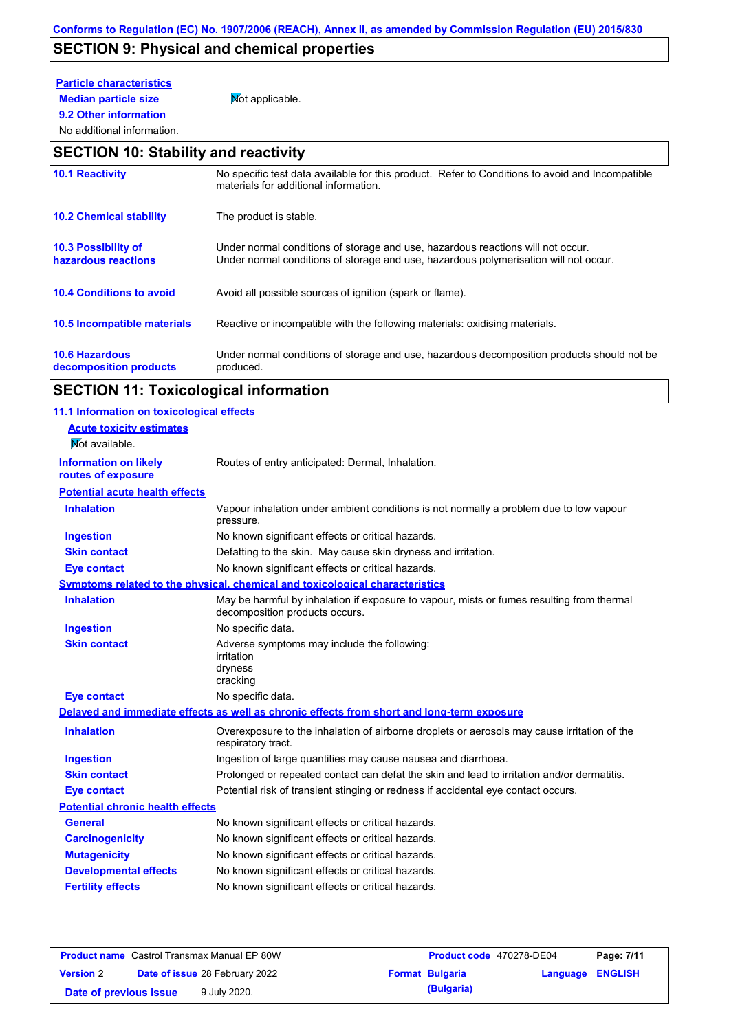# **SECTION 9: Physical and chemical properties**

# **Particle characteristics**

**9.2 Other information**

**Median particle size** Not applicable.

### No additional information.

### **SECTION 10: Stability and reactivity**

| <b>10.1 Reactivity</b>                            | No specific test data available for this product. Refer to Conditions to avoid and Incompatible<br>materials for additional information.                                |
|---------------------------------------------------|-------------------------------------------------------------------------------------------------------------------------------------------------------------------------|
| <b>10.2 Chemical stability</b>                    | The product is stable.                                                                                                                                                  |
| <b>10.3 Possibility of</b><br>hazardous reactions | Under normal conditions of storage and use, hazardous reactions will not occur.<br>Under normal conditions of storage and use, hazardous polymerisation will not occur. |
| <b>10.4 Conditions to avoid</b>                   | Avoid all possible sources of ignition (spark or flame).                                                                                                                |
| 10.5 Incompatible materials                       | Reactive or incompatible with the following materials: oxidising materials.                                                                                             |
| <b>10.6 Hazardous</b><br>decomposition products   | Under normal conditions of storage and use, hazardous decomposition products should not be<br>produced.                                                                 |

# **SECTION 11: Toxicological information**

| 11.1 Information on toxicological effects |                                                                                                                             |
|-------------------------------------------|-----------------------------------------------------------------------------------------------------------------------------|
| <b>Acute toxicity estimates</b>           |                                                                                                                             |
| Not available.                            |                                                                                                                             |
| <b>Information on likely</b>              | Routes of entry anticipated: Dermal, Inhalation.                                                                            |
| routes of exposure                        |                                                                                                                             |
| <b>Potential acute health effects</b>     |                                                                                                                             |
| <b>Inhalation</b>                         | Vapour inhalation under ambient conditions is not normally a problem due to low vapour<br>pressure.                         |
| <b>Ingestion</b>                          | No known significant effects or critical hazards.                                                                           |
| <b>Skin contact</b>                       | Defatting to the skin. May cause skin dryness and irritation.                                                               |
| <b>Eye contact</b>                        | No known significant effects or critical hazards.                                                                           |
|                                           | Symptoms related to the physical, chemical and toxicological characteristics                                                |
| <b>Inhalation</b>                         | May be harmful by inhalation if exposure to vapour, mists or fumes resulting from thermal<br>decomposition products occurs. |
| <b>Ingestion</b>                          | No specific data.                                                                                                           |
| <b>Skin contact</b>                       | Adverse symptoms may include the following:<br>irritation<br>dryness<br>cracking                                            |
| <b>Eye contact</b>                        | No specific data.                                                                                                           |
|                                           | Delayed and immediate effects as well as chronic effects from short and long-term exposure                                  |
| <b>Inhalation</b>                         | Overexposure to the inhalation of airborne droplets or aerosols may cause irritation of the<br>respiratory tract.           |
| <b>Ingestion</b>                          | Ingestion of large quantities may cause nausea and diarrhoea.                                                               |
| <b>Skin contact</b>                       | Prolonged or repeated contact can defat the skin and lead to irritation and/or dermatitis.                                  |
| <b>Eye contact</b>                        | Potential risk of transient stinging or redness if accidental eye contact occurs.                                           |
| <b>Potential chronic health effects</b>   |                                                                                                                             |
| <b>General</b>                            | No known significant effects or critical hazards.                                                                           |
| <b>Carcinogenicity</b>                    | No known significant effects or critical hazards.                                                                           |
| <b>Mutagenicity</b>                       | No known significant effects or critical hazards.                                                                           |
| <b>Developmental effects</b>              | No known significant effects or critical hazards.                                                                           |
| <b>Fertility effects</b>                  | No known significant effects or critical hazards.                                                                           |
|                                           |                                                                                                                             |

| <b>Product name</b> Castrol Transmax Manual EP 80W |  |                                       | Product code 470278-DE04 | Page: 7/11       |  |
|----------------------------------------------------|--|---------------------------------------|--------------------------|------------------|--|
| <b>Version</b> 2                                   |  | <b>Date of issue 28 February 2022</b> | <b>Format Bulgaria</b>   | Language ENGLISH |  |
| Date of previous issue                             |  | 9 July 2020.                          | (Bulgaria)               |                  |  |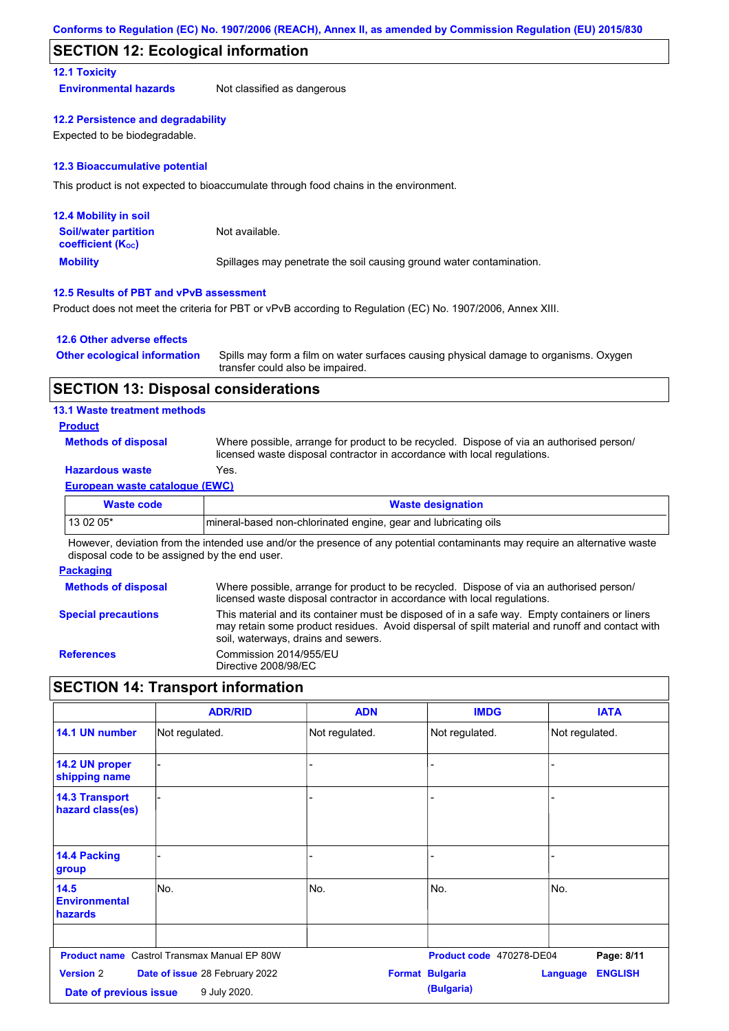### **SECTION 12: Ecological information**

### **12.1 Toxicity**

**Environmental hazards** Not classified as dangerous

### **12.2 Persistence and degradability**

Expected to be biodegradable.

### **12.3 Bioaccumulative potential**

This product is not expected to bioaccumulate through food chains in the environment.

| <b>12.4 Mobility in soil</b>                                  |                                                                      |
|---------------------------------------------------------------|----------------------------------------------------------------------|
| <b>Soil/water partition</b><br>coefficient (K <sub>oc</sub> ) | Not available.                                                       |
| <b>Mobility</b>                                               | Spillages may penetrate the soil causing ground water contamination. |

### **12.5 Results of PBT and vPvB assessment**

Product does not meet the criteria for PBT or vPvB according to Regulation (EC) No. 1907/2006, Annex XIII.

### **12.6 Other adverse effects**

| <b>Other ecological information</b> | Spills may form a film on water surfaces causing physical damage to organisms. Oxygen |
|-------------------------------------|---------------------------------------------------------------------------------------|
|                                     | transfer could also be impaired.                                                      |

### **SECTION 13: Disposal considerations**

### **13.1 Waste treatment methods**

### **Product**

**Methods of disposal**

Where possible, arrange for product to be recycled. Dispose of via an authorised person/ licensed waste disposal contractor in accordance with local regulations.

### **Hazardous waste** Yes.

### **European waste catalogue (EWC)**

| Waste code | <b>Waste designation</b>                                         |
|------------|------------------------------------------------------------------|
| $130205*$  | Imineral-based non-chlorinated engine, gear and lubricating oils |

However, deviation from the intended use and/or the presence of any potential contaminants may require an alternative waste disposal code to be assigned by the end user.

### **Packaging**

| <b>Methods of disposal</b> | Where possible, arrange for product to be recycled. Dispose of via an authorised person/<br>licensed waste disposal contractor in accordance with local regulations.                                                                    |
|----------------------------|-----------------------------------------------------------------------------------------------------------------------------------------------------------------------------------------------------------------------------------------|
| <b>Special precautions</b> | This material and its container must be disposed of in a safe way. Empty containers or liners<br>may retain some product residues. Avoid dispersal of spilt material and runoff and contact with<br>soil, waterways, drains and sewers. |
| <b>References</b>          | Commission 2014/955/EU<br>Directive 2008/98/EC                                                                                                                                                                                          |

### **SECTION 14: Transport information**

|                                                                                              | <b>ADR/RID</b>                                     | <b>ADN</b>     | <b>IMDG</b>                          | <b>IATA</b>                       |
|----------------------------------------------------------------------------------------------|----------------------------------------------------|----------------|--------------------------------------|-----------------------------------|
| 14.1 UN number                                                                               | Not regulated.                                     | Not regulated. | Not regulated.                       | Not regulated.                    |
| 14.2 UN proper<br>shipping name                                                              |                                                    | ٠              |                                      |                                   |
| <b>14.3 Transport</b><br>hazard class(es)                                                    |                                                    |                |                                      |                                   |
| 14.4 Packing<br>group                                                                        |                                                    |                |                                      |                                   |
| 14.5<br><b>Environmental</b><br>hazards                                                      | lNo.                                               | No.            | No.                                  | No.                               |
|                                                                                              | <b>Product name</b> Castrol Transmax Manual EP 80W |                | Product code 470278-DE04             | Page: 8/11                        |
| <b>Version 2</b><br>Date of issue 28 February 2022<br>9 July 2020.<br>Date of previous issue |                                                    |                | <b>Format Bulgaria</b><br>(Bulgaria) | <b>ENGLISH</b><br><b>Language</b> |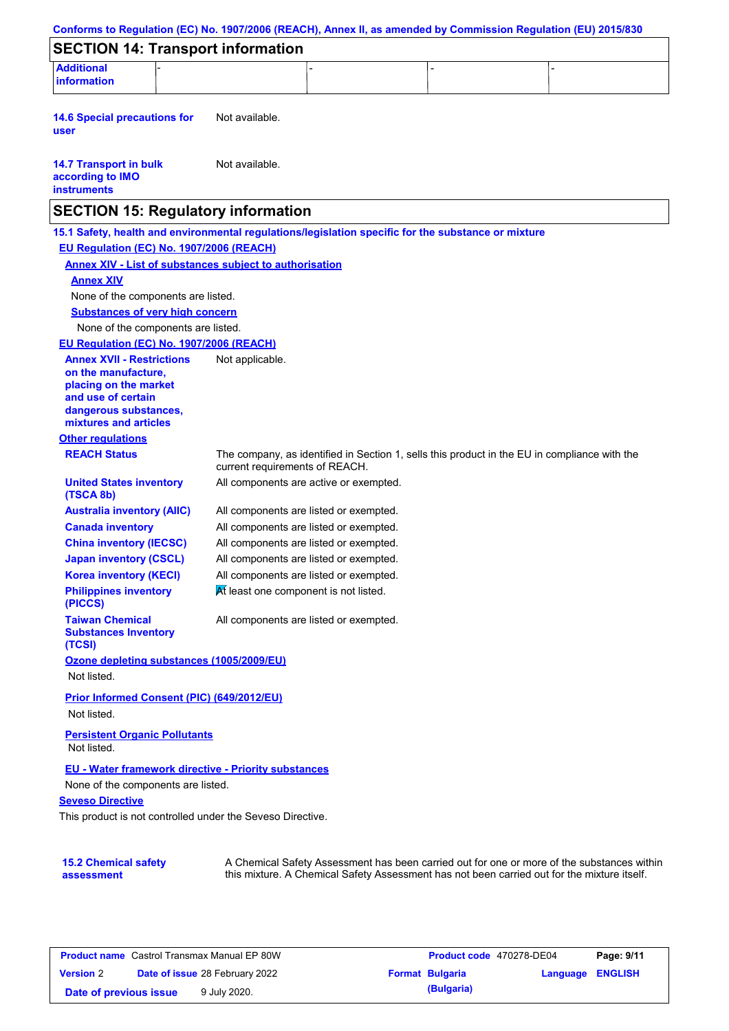| <b>SECTION 14: Transport information</b>                                                            |                                                                |                                                                                              |                                                                                            |
|-----------------------------------------------------------------------------------------------------|----------------------------------------------------------------|----------------------------------------------------------------------------------------------|--------------------------------------------------------------------------------------------|
| <b>Additional</b>                                                                                   |                                                                |                                                                                              |                                                                                            |
| information                                                                                         |                                                                |                                                                                              |                                                                                            |
| <b>14.6 Special precautions for</b><br>user                                                         | Not available.                                                 |                                                                                              |                                                                                            |
|                                                                                                     |                                                                |                                                                                              |                                                                                            |
| <b>14.7 Transport in bulk</b><br>according to IMO<br><b>instruments</b>                             | Not available.                                                 |                                                                                              |                                                                                            |
| <b>SECTION 15: Regulatory information</b>                                                           |                                                                |                                                                                              |                                                                                            |
| 15.1 Safety, health and environmental regulations/legislation specific for the substance or mixture |                                                                |                                                                                              |                                                                                            |
| EU Regulation (EC) No. 1907/2006 (REACH)                                                            |                                                                |                                                                                              |                                                                                            |
|                                                                                                     | <b>Annex XIV - List of substances subject to authorisation</b> |                                                                                              |                                                                                            |
| <b>Annex XIV</b>                                                                                    |                                                                |                                                                                              |                                                                                            |
| None of the components are listed.                                                                  |                                                                |                                                                                              |                                                                                            |
| <b>Substances of very high concern</b>                                                              |                                                                |                                                                                              |                                                                                            |
| None of the components are listed.                                                                  |                                                                |                                                                                              |                                                                                            |
| EU Regulation (EC) No. 1907/2006 (REACH)                                                            |                                                                |                                                                                              |                                                                                            |
| <b>Annex XVII - Restrictions</b>                                                                    | Not applicable.                                                |                                                                                              |                                                                                            |
| on the manufacture,                                                                                 |                                                                |                                                                                              |                                                                                            |
| placing on the market                                                                               |                                                                |                                                                                              |                                                                                            |
| and use of certain                                                                                  |                                                                |                                                                                              |                                                                                            |
| dangerous substances,<br>mixtures and articles                                                      |                                                                |                                                                                              |                                                                                            |
| <b>Other regulations</b>                                                                            |                                                                |                                                                                              |                                                                                            |
| <b>REACH Status</b>                                                                                 |                                                                | The company, as identified in Section 1, sells this product in the EU in compliance with the |                                                                                            |
|                                                                                                     | current requirements of REACH.                                 |                                                                                              |                                                                                            |
| <b>United States inventory</b><br>(TSCA 8b)                                                         |                                                                | All components are active or exempted.                                                       |                                                                                            |
| <b>Australia inventory (AIIC)</b>                                                                   |                                                                | All components are listed or exempted.                                                       |                                                                                            |
| <b>Canada inventory</b>                                                                             |                                                                | All components are listed or exempted.                                                       |                                                                                            |
| <b>China inventory (IECSC)</b>                                                                      |                                                                | All components are listed or exempted.                                                       |                                                                                            |
| <b>Japan inventory (CSCL)</b>                                                                       |                                                                | All components are listed or exempted.                                                       |                                                                                            |
| <b>Korea inventory (KECI)</b>                                                                       |                                                                | All components are listed or exempted.                                                       |                                                                                            |
| <b>Philippines inventory</b><br>(PICCS)                                                             | At least one component is not listed.                          |                                                                                              |                                                                                            |
| <b>Taiwan Chemical</b><br><b>Substances Inventory</b><br>(TCSI)                                     |                                                                | All components are listed or exempted.                                                       |                                                                                            |
| Ozone depleting substances (1005/2009/EU)                                                           |                                                                |                                                                                              |                                                                                            |
| Not listed.                                                                                         |                                                                |                                                                                              |                                                                                            |
| Prior Informed Consent (PIC) (649/2012/EU)                                                          |                                                                |                                                                                              |                                                                                            |
| Not listed.                                                                                         |                                                                |                                                                                              |                                                                                            |
|                                                                                                     |                                                                |                                                                                              |                                                                                            |
| <b>Persistent Organic Pollutants</b><br>Not listed.                                                 |                                                                |                                                                                              |                                                                                            |
|                                                                                                     | EU - Water framework directive - Priority substances           |                                                                                              |                                                                                            |
| None of the components are listed.                                                                  |                                                                |                                                                                              |                                                                                            |
| <b>Seveso Directive</b>                                                                             |                                                                |                                                                                              |                                                                                            |
|                                                                                                     | This product is not controlled under the Seveso Directive.     |                                                                                              |                                                                                            |
|                                                                                                     |                                                                |                                                                                              |                                                                                            |
|                                                                                                     |                                                                |                                                                                              |                                                                                            |
| <b>15.2 Chemical safety</b>                                                                         |                                                                |                                                                                              | A Chemical Safety Assessment has been carried out for one or more of the substances within |
| assessment                                                                                          |                                                                | this mixture. A Chemical Safety Assessment has not been carried out for the mixture itself.  |                                                                                            |

| <b>Product name</b> Castrol Transmax Manual EP 80W |  | <b>Product code</b> 470278-DE04       |  | Page: 9/11             |                         |  |
|----------------------------------------------------|--|---------------------------------------|--|------------------------|-------------------------|--|
| <b>Version 2</b>                                   |  | <b>Date of issue 28 February 2022</b> |  | <b>Format Bulgaria</b> | <b>Language ENGLISH</b> |  |
| Date of previous issue                             |  | 9 July 2020.                          |  | (Bulgaria)             |                         |  |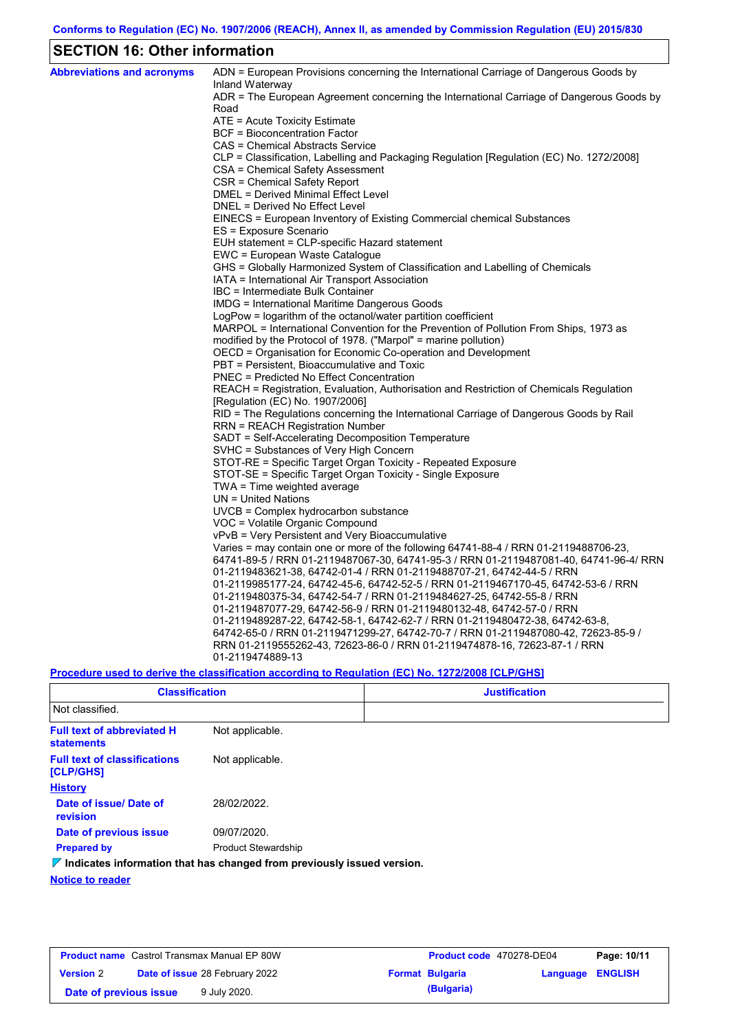## **SECTION 16: Other information**

| <b>Abbreviations and acronyms</b> | ADN = European Provisions concerning the International Carriage of Dangerous Goods by<br>Inland Waterway |
|-----------------------------------|----------------------------------------------------------------------------------------------------------|
|                                   | ADR = The European Agreement concerning the International Carriage of Dangerous Goods by<br>Road         |
|                                   | ATE = Acute Toxicity Estimate                                                                            |
|                                   | <b>BCF</b> = Bioconcentration Factor                                                                     |
|                                   | CAS = Chemical Abstracts Service                                                                         |
|                                   | CLP = Classification, Labelling and Packaging Regulation [Regulation (EC) No. 1272/2008]                 |
|                                   | CSA = Chemical Safety Assessment                                                                         |
|                                   | CSR = Chemical Safety Report                                                                             |
|                                   | DMEL = Derived Minimal Effect Level                                                                      |
|                                   | DNEL = Derived No Effect Level                                                                           |
|                                   | EINECS = European Inventory of Existing Commercial chemical Substances                                   |
|                                   | ES = Exposure Scenario                                                                                   |
|                                   | EUH statement = CLP-specific Hazard statement                                                            |
|                                   | EWC = European Waste Catalogue                                                                           |
|                                   | GHS = Globally Harmonized System of Classification and Labelling of Chemicals                            |
|                                   | IATA = International Air Transport Association                                                           |
|                                   | IBC = Intermediate Bulk Container                                                                        |
|                                   | IMDG = International Maritime Dangerous Goods                                                            |
|                                   | LogPow = logarithm of the octanol/water partition coefficient                                            |
|                                   | MARPOL = International Convention for the Prevention of Pollution From Ships, 1973 as                    |
|                                   | modified by the Protocol of 1978. ("Marpol" = marine pollution)                                          |
|                                   | OECD = Organisation for Economic Co-operation and Development                                            |
|                                   | PBT = Persistent, Bioaccumulative and Toxic                                                              |
|                                   | <b>PNEC</b> = Predicted No Effect Concentration                                                          |
|                                   | REACH = Registration, Evaluation, Authorisation and Restriction of Chemicals Regulation                  |
|                                   | [Regulation (EC) No. 1907/2006]                                                                          |
|                                   | RID = The Regulations concerning the International Carriage of Dangerous Goods by Rail                   |
|                                   | RRN = REACH Registration Number                                                                          |
|                                   | SADT = Self-Accelerating Decomposition Temperature<br>SVHC = Substances of Very High Concern             |
|                                   | STOT-RE = Specific Target Organ Toxicity - Repeated Exposure                                             |
|                                   | STOT-SE = Specific Target Organ Toxicity - Single Exposure                                               |
|                                   | $TWA = Time$ weighted average                                                                            |
|                                   | $UN = United Nations$                                                                                    |
|                                   | UVCB = Complex hydrocarbon substance                                                                     |
|                                   | VOC = Volatile Organic Compound                                                                          |
|                                   | vPvB = Very Persistent and Very Bioaccumulative                                                          |
|                                   | Varies = may contain one or more of the following $64741-88-4$ / RRN 01-2119488706-23,                   |
|                                   | 64741-89-5 / RRN 01-2119487067-30, 64741-95-3 / RRN 01-2119487081-40, 64741-96-4/ RRN                    |
|                                   | 01-2119483621-38, 64742-01-4 / RRN 01-2119488707-21, 64742-44-5 / RRN                                    |
|                                   | 01-2119985177-24, 64742-45-6, 64742-52-5 / RRN 01-2119467170-45, 64742-53-6 / RRN                        |
|                                   | 01-2119480375-34, 64742-54-7 / RRN 01-2119484627-25, 64742-55-8 / RRN                                    |
|                                   | 01-2119487077-29, 64742-56-9 / RRN 01-2119480132-48, 64742-57-0 / RRN                                    |
|                                   | 01-2119489287-22, 64742-58-1, 64742-62-7 / RRN 01-2119480472-38, 64742-63-8,                             |
|                                   | 64742-65-0 / RRN 01-2119471299-27, 64742-70-7 / RRN 01-2119487080-42, 72623-85-9 /                       |
|                                   | RRN 01-2119555262-43, 72623-86-0 / RRN 01-2119474878-16, 72623-87-1 / RRN                                |
|                                   | 01-2119474889-13                                                                                         |
|                                   |                                                                                                          |

### **Procedure used to derive the classification according to Regulation (EC) No. 1272/2008 [CLP/GHS]**

| <b>Classification</b>                                  |                                                                                 | <b>Justification</b> |
|--------------------------------------------------------|---------------------------------------------------------------------------------|----------------------|
| Not classified.                                        |                                                                                 |                      |
| <b>Full text of abbreviated H</b><br><b>statements</b> | Not applicable.                                                                 |                      |
| <b>Full text of classifications</b><br>[CLP/GHS]       | Not applicable.                                                                 |                      |
| <b>History</b>                                         |                                                                                 |                      |
| Date of issue/ Date of<br>revision                     | 28/02/2022.                                                                     |                      |
| Date of previous issue                                 | 09/07/2020.                                                                     |                      |
| <b>Prepared by</b>                                     | <b>Product Stewardship</b>                                                      |                      |
|                                                        | $\nabla$ Indicates information that has changed from previously issued version. |                      |
| .                                                      |                                                                                 |                      |

**Notice to reader**

| <b>Product name</b> Castrol Transmax Manual EP 80W |                                       | <b>Product code</b> 470278-DE04 |                        | Page: 10/11      |  |  |
|----------------------------------------------------|---------------------------------------|---------------------------------|------------------------|------------------|--|--|
| <b>Version 2</b>                                   | <b>Date of issue 28 February 2022</b> |                                 | <b>Format Bulgaria</b> | Language ENGLISH |  |  |
| Date of previous issue                             |                                       | 9 July 2020.                    |                        | (Bulgaria)       |  |  |